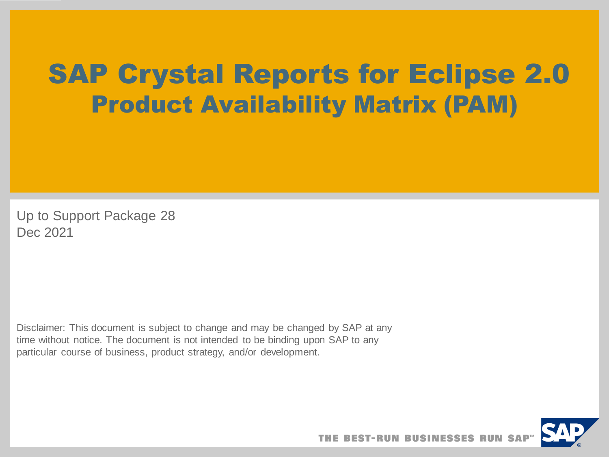# SAP Crystal Reports for Eclipse 2.0 Product Availability Matrix (PAM)

Up to Support Package 28 Dec 2021

Disclaimer: This document is subject to change and may be changed by SAP at any time without notice. The document is not intended to be binding upon SAP to any particular course of business, product strategy, and/or development.

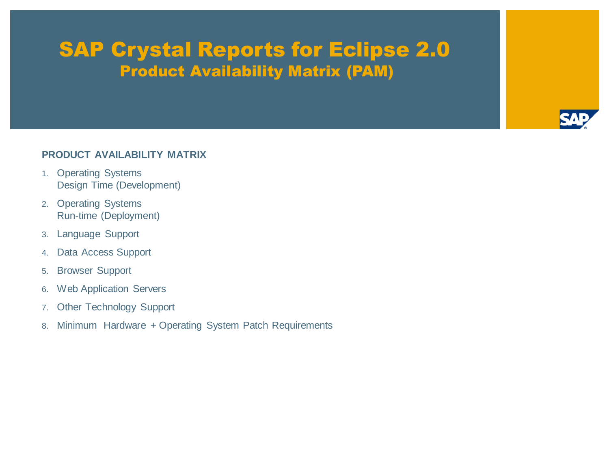# SAP Crystal Reports for Eclipse 2.0 Product Availability Matrix (PAM)



#### **PRODUCT AVAILABILITY MATRIX**

- 1. Operating Systems Design Time (Development)
- 2. Operating Systems Run-time (Deployment)
- 3. Language Support
- 4. Data Access Support
- 5. Browser Support
- 6. Web Application Servers
- 7. Other Technology Support
- 8. Minimum Hardware + Operating System Patch Requirements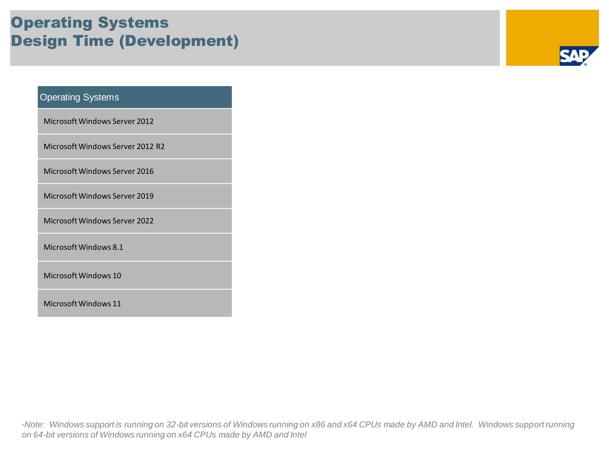### Operating Systems Design Time (Development)

#### Operating Systems

Microsoft Windows Server 2012

Microsoft Windows Server 2012 R2

Microsoft Windows Server 2016

Microsoft Windows Server 2019

Microsoft Windows Server 2022

Microsoft Windows 8.1

Microsoft Windows 10

Microsoft Windows 11

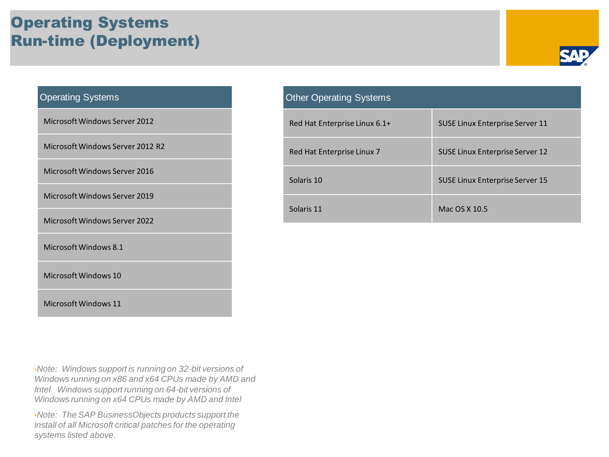### Operating Systems Run-time (Deployment)



#### Operating Systems

Microsoft Windows Server 2012

Microsoft Windows Server 2012 R2

Microsoft Windows Server 2016

Microsoft Windows Server 2019

Microsoft Windows Server 2022

Microsoft Windows 8.1

Microsoft Windows 10

Microsoft Windows 11

•*Note: Windows support is running on 32-bit versions of Windows running on x86 and x64 CPUs made by AMD and Intel. Windows support running on 64-bit versions of Windows running on x64 CPUs made by AMD and Intel*

•*Note: The SAP BusinessObjects products support the install of all Microsoft critical patches for the operating systems listed above.*

| <b>Other Operating Systems</b> |                                        |
|--------------------------------|----------------------------------------|
| Red Hat Enterprise Linux 6.1+  | <b>SUSE Linux Enterprise Server 11</b> |
| Red Hat Enterprise Linux 7     | SUSE Linux Enterprise Server 12        |
| Solaris 10                     | <b>SUSE Linux Enterprise Server 15</b> |
| Solaris 11                     | Mac OS X 10.5                          |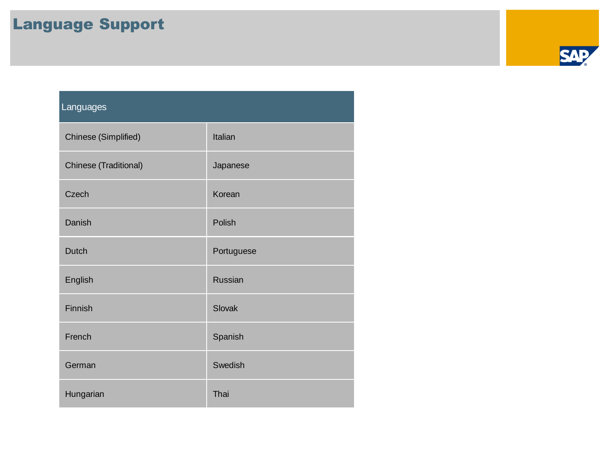## Language Support

| Languages             |            |
|-----------------------|------------|
| Chinese (Simplified)  | Italian    |
| Chinese (Traditional) | Japanese   |
| Czech                 | Korean     |
| Danish                | Polish     |
| Dutch                 | Portuguese |
| English               | Russian    |
| Finnish               | Slovak     |
| French                | Spanish    |
| German                | Swedish    |
| Hungarian             | Thai       |

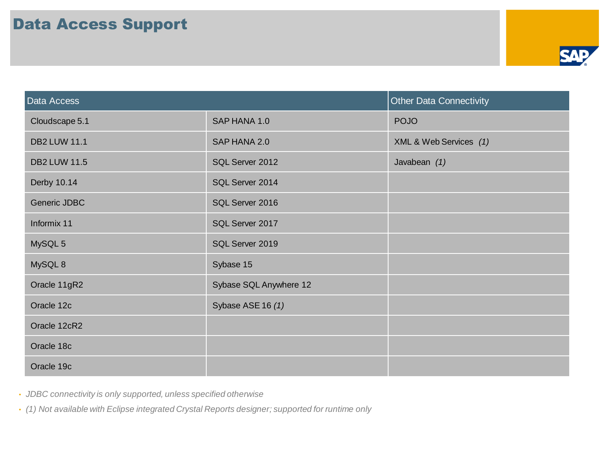

| Data Access         |                        | <b>Other Data Connectivity</b> |
|---------------------|------------------------|--------------------------------|
| Cloudscape 5.1      | SAP HANA 1.0           | <b>POJO</b>                    |
| <b>DB2 LUW 11.1</b> | SAP HANA 2.0           | XML & Web Services (1)         |
| <b>DB2 LUW 11.5</b> | SQL Server 2012        | Javabean (1)                   |
| Derby 10.14         | SQL Server 2014        |                                |
| Generic JDBC        | SQL Server 2016        |                                |
| Informix 11         | SQL Server 2017        |                                |
| MySQL 5             | SQL Server 2019        |                                |
| MySQL 8             | Sybase 15              |                                |
| Oracle 11gR2        | Sybase SQL Anywhere 12 |                                |
| Oracle 12c          | Sybase ASE 16 (1)      |                                |
| Oracle 12cR2        |                        |                                |
| Oracle 18c          |                        |                                |
| Oracle 19c          |                        |                                |

• *JDBC connectivity is only supported, unless specified otherwise*

• *(1) Not available with Eclipse integrated Crystal Reports designer; supported for runtime only*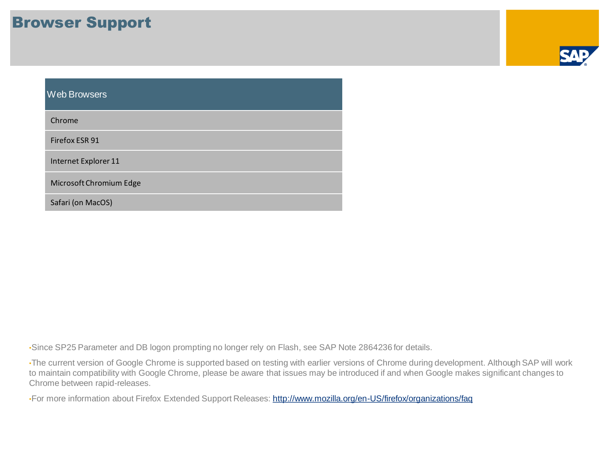#### Browser Support

| <b>Web Browsers</b>     |
|-------------------------|
| Chrome                  |
| Firefox ESR 91          |
| Internet Explorer 11    |
| Microsoft Chromium Edge |
| Safari (on MacOS)       |

•Since SP25 Parameter and DB logon prompting no longer rely on Flash, see SAP Note 2864236 for details.

•The current version of Google Chrome is supported based on testing with earlier versions of Chrome during development. Although SAP will work to maintain compatibility with Google Chrome, please be aware that issues may be introduced if and when Google makes significant changes to Chrome between rapid-releases.

•For more information about Firefox Extended Support Releases:<http://www.mozilla.org/en-US/firefox/organizations/faq>

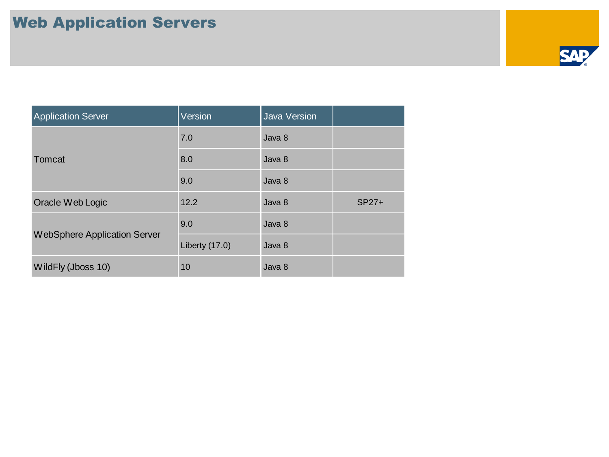

| <b>Application Server</b>    | Version        | <b>Java Version</b> |         |
|------------------------------|----------------|---------------------|---------|
| Tomcat                       | 7.0            | Java 8              |         |
|                              | 8.0            | Java 8              |         |
|                              | 9.0            | Java 8              |         |
| Oracle Web Logic             | 12.2           | Java 8              | $SP27+$ |
| WebSphere Application Server | 9.0            | Java 8              |         |
|                              | Liberty (17.0) | Java 8              |         |
| WildFly (Jboss 10)           | 10             | Java 8              |         |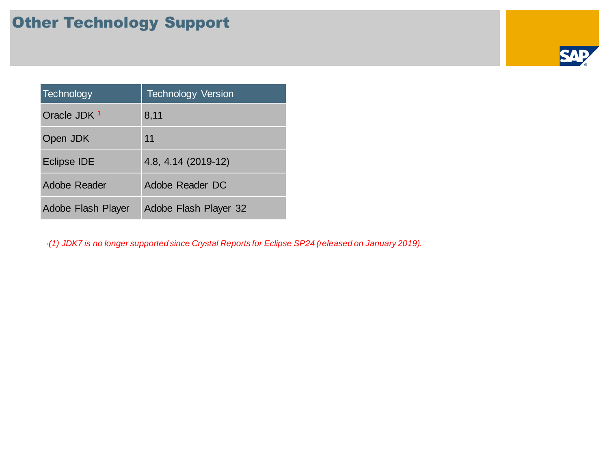## Other Technology Support

| Technology              | <b>Technology Version</b> |
|-------------------------|---------------------------|
| Oracle JDK <sup>1</sup> | 8,11                      |
| Open JDK                | 11                        |
| <b>Eclipse IDE</b>      | 4.8, 4.14 (2019-12)       |
| Adobe Reader            | Adobe Reader DC           |
| Adobe Flash Player      | Adobe Flash Player 32     |

•*(1) JDK7 is no longer supported since Crystal Reports for Eclipse SP24 (released on January 2019).*